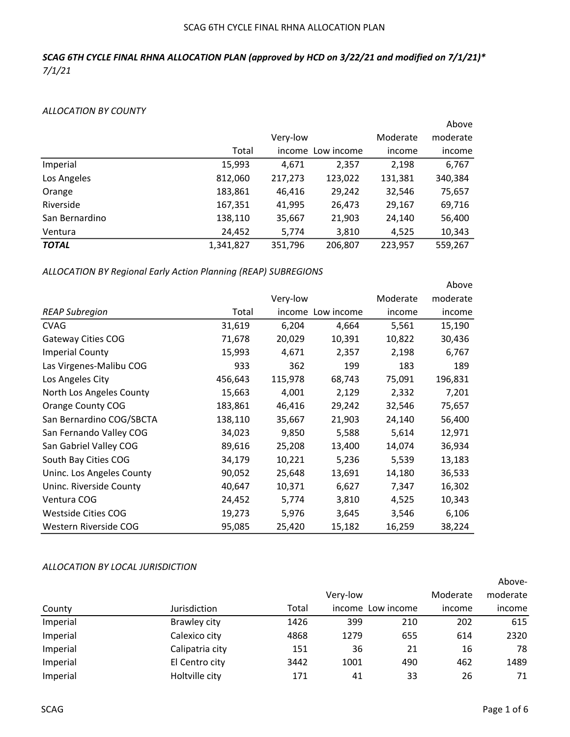# SCAG 6TH CYCLE FINAL RHNA ALLOCATION PLAN

# SCAG 6TH CYCLE FINAL RHNA ALLOCATION PLAN (approved by HCD on 3/22/21 and modified on 7/1/21)\* 7/1/21

#### ALLOCATION BY COUNTY

|                |           |          |            |          | Above    |
|----------------|-----------|----------|------------|----------|----------|
|                |           | Very-low |            | Moderate | moderate |
|                | Total     | income   | Low income | income   | income   |
| Imperial       | 15,993    | 4,671    | 2,357      | 2,198    | 6,767    |
| Los Angeles    | 812,060   | 217,273  | 123,022    | 131,381  | 340,384  |
| Orange         | 183,861   | 46,416   | 29,242     | 32,546   | 75,657   |
| Riverside      | 167,351   | 41,995   | 26,473     | 29,167   | 69,716   |
| San Bernardino | 138,110   | 35,667   | 21,903     | 24,140   | 56,400   |
| Ventura        | 24,452    | 5,774    | 3,810      | 4,525    | 10,343   |
| <b>TOTAL</b>   | 1,341,827 | 351,796  | 206,807    | 223,957  | 559,267  |

ALLOCATION BY Regional Early Action Planning (REAP) SUBREGIONS

|                           |         |          |            |          | へいしゃし    |
|---------------------------|---------|----------|------------|----------|----------|
|                           |         | Very-low |            | Moderate | moderate |
| <b>REAP Subregion</b>     | Total   | income   | Low income | income   | income   |
| <b>CVAG</b>               | 31,619  | 6,204    | 4,664      | 5,561    | 15,190   |
| Gateway Cities COG        | 71,678  | 20,029   | 10,391     | 10,822   | 30,436   |
| <b>Imperial County</b>    | 15,993  | 4,671    | 2,357      | 2,198    | 6,767    |
| Las Virgenes-Malibu COG   | 933     | 362      | 199        | 183      | 189      |
| Los Angeles City          | 456,643 | 115,978  | 68,743     | 75,091   | 196,831  |
| North Los Angeles County  | 15,663  | 4,001    | 2,129      | 2,332    | 7,201    |
| Orange County COG         | 183,861 | 46,416   | 29,242     | 32,546   | 75,657   |
| San Bernardino COG/SBCTA  | 138,110 | 35,667   | 21,903     | 24,140   | 56,400   |
| San Fernando Valley COG   | 34,023  | 9,850    | 5,588      | 5,614    | 12,971   |
| San Gabriel Valley COG    | 89,616  | 25,208   | 13,400     | 14,074   | 36,934   |
| South Bay Cities COG      | 34,179  | 10,221   | 5,236      | 5,539    | 13,183   |
| Uninc. Los Angeles County | 90,052  | 25,648   | 13,691     | 14,180   | 36,533   |
| Uninc. Riverside County   | 40,647  | 10,371   | 6,627      | 7,347    | 16,302   |
| Ventura COG               | 24,452  | 5,774    | 3,810      | 4,525    | 10,343   |
| Westside Cities COG       | 19,273  | 5,976    | 3,645      | 3,546    | 6,106    |
| Western Riverside COG     | 95,085  | 25,420   | 15,182     | 16,259   | 38,224   |

# ALLOCATION BY LOCAL JURISDICTION

|          |                 |       |          |                   |          | Above-   |
|----------|-----------------|-------|----------|-------------------|----------|----------|
|          |                 |       | Very-low |                   | Moderate | moderate |
| County   | Jurisdiction    | Total |          | income Low income | income   | income   |
| Imperial | Brawley city    | 1426  | 399      | 210               | 202      | 615      |
| Imperial | Calexico city   | 4868  | 1279     | 655               | 614      | 2320     |
| Imperial | Calipatria city | 151   | 36       | 21                | 16       | 78       |
| Imperial | El Centro city  | 3442  | 1001     | 490               | 462      | 1489     |
| Imperial | Holtville city  | 171   | 41       | 33                | 26       | 71       |

Above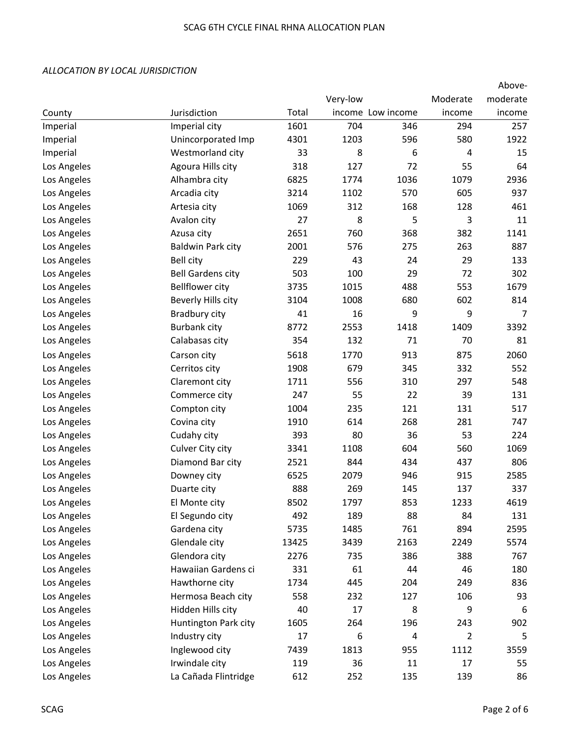|             |                          |       |          |                   |                | Above-   |
|-------------|--------------------------|-------|----------|-------------------|----------------|----------|
|             |                          |       | Very-low |                   | Moderate       | moderate |
| County      | Jurisdiction             | Total |          | income Low income | income         | income   |
| Imperial    | Imperial city            | 1601  | 704      | 346               | 294            | 257      |
| Imperial    | Unincorporated Imp       | 4301  | 1203     | 596               | 580            | 1922     |
| Imperial    | Westmorland city         | 33    | 8        | 6                 | 4              | 15       |
| Los Angeles | Agoura Hills city        | 318   | 127      | 72                | 55             | 64       |
| Los Angeles | Alhambra city            | 6825  | 1774     | 1036              | 1079           | 2936     |
| Los Angeles | Arcadia city             | 3214  | 1102     | 570               | 605            | 937      |
| Los Angeles | Artesia city             | 1069  | 312      | 168               | 128            | 461      |
| Los Angeles | Avalon city              | 27    | 8        | 5                 | 3              | 11       |
| Los Angeles | Azusa city               | 2651  | 760      | 368               | 382            | 1141     |
| Los Angeles | <b>Baldwin Park city</b> | 2001  | 576      | 275               | 263            | 887      |
| Los Angeles | <b>Bell city</b>         | 229   | 43       | 24                | 29             | 133      |
| Los Angeles | <b>Bell Gardens city</b> | 503   | 100      | 29                | 72             | 302      |
| Los Angeles | <b>Bellflower city</b>   | 3735  | 1015     | 488               | 553            | 1679     |
| Los Angeles | Beverly Hills city       | 3104  | 1008     | 680               | 602            | 814      |
| Los Angeles | Bradbury city            | 41    | 16       | 9                 | 9              | 7        |
| Los Angeles | <b>Burbank city</b>      | 8772  | 2553     | 1418              | 1409           | 3392     |
| Los Angeles | Calabasas city           | 354   | 132      | 71                | 70             | 81       |
| Los Angeles | Carson city              | 5618  | 1770     | 913               | 875            | 2060     |
| Los Angeles | Cerritos city            | 1908  | 679      | 345               | 332            | 552      |
| Los Angeles | Claremont city           | 1711  | 556      | 310               | 297            | 548      |
| Los Angeles | Commerce city            | 247   | 55       | 22                | 39             | 131      |
| Los Angeles | Compton city             | 1004  | 235      | 121               | 131            | 517      |
| Los Angeles | Covina city              | 1910  | 614      | 268               | 281            | 747      |
| Los Angeles | Cudahy city              | 393   | 80       | 36                | 53             | 224      |
| Los Angeles | Culver City city         | 3341  | 1108     | 604               | 560            | 1069     |
| Los Angeles | Diamond Bar city         | 2521  | 844      | 434               | 437            | 806      |
| Los Angeles | Downey city              | 6525  | 2079     | 946               | 915            | 2585     |
| Los Angeles | Duarte city              | 888   | 269      | 145               | 137            | 337      |
| Los Angeles | El Monte city            | 8502  | 1797     | 853               | 1233           | 4619     |
| Los Angeles | El Segundo city          | 492   | 189      | 88                | 84             | 131      |
| Los Angeles | Gardena city             | 5735  | 1485     | 761               | 894            | 2595     |
| Los Angeles | Glendale city            | 13425 | 3439     | 2163              | 2249           | 5574     |
| Los Angeles | Glendora city            | 2276  | 735      | 386               | 388            | 767      |
| Los Angeles | Hawaiian Gardens ci      | 331   | 61       | 44                | 46             | 180      |
| Los Angeles | Hawthorne city           | 1734  | 445      | 204               | 249            | 836      |
| Los Angeles | Hermosa Beach city       | 558   | 232      | 127               | 106            | 93       |
| Los Angeles | Hidden Hills city        | 40    | 17       | 8                 | 9              | 6        |
| Los Angeles | Huntington Park city     | 1605  | 264      | 196               | 243            | 902      |
| Los Angeles | Industry city            | 17    | 6        | 4                 | $\overline{2}$ | 5        |
| Los Angeles | Inglewood city           | 7439  | 1813     | 955               | 1112           | 3559     |
| Los Angeles | Irwindale city           | 119   | 36       | 11                | 17             | 55       |
| Los Angeles | La Cañada Flintridge     | 612   | 252      | 135               | 139            | 86       |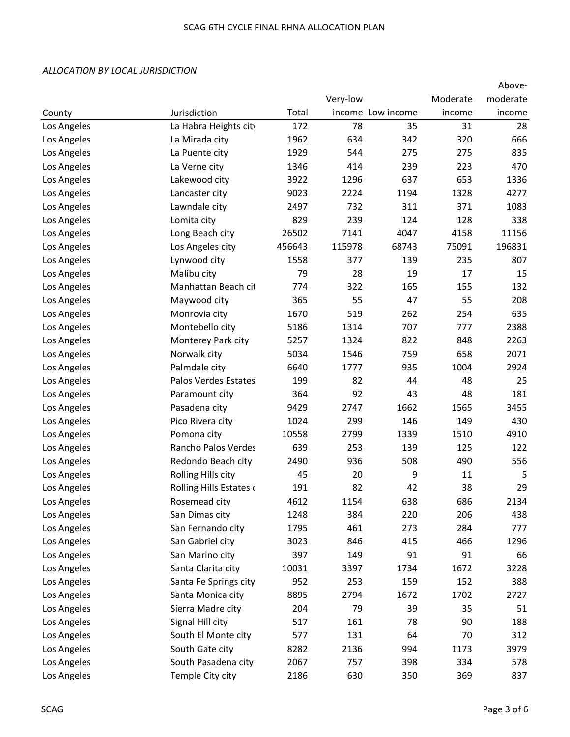|             |                         |        |          |                   |          | Above-   |
|-------------|-------------------------|--------|----------|-------------------|----------|----------|
|             |                         |        | Very-low |                   | Moderate | moderate |
| County      | Jurisdiction            | Total  |          | income Low income | income   | income   |
| Los Angeles | La Habra Heights city   | 172    | 78       | 35                | 31       | 28       |
| Los Angeles | La Mirada city          | 1962   | 634      | 342               | 320      | 666      |
| Los Angeles | La Puente city          | 1929   | 544      | 275               | 275      | 835      |
| Los Angeles | La Verne city           | 1346   | 414      | 239               | 223      | 470      |
| Los Angeles | Lakewood city           | 3922   | 1296     | 637               | 653      | 1336     |
| Los Angeles | Lancaster city          | 9023   | 2224     | 1194              | 1328     | 4277     |
| Los Angeles | Lawndale city           | 2497   | 732      | 311               | 371      | 1083     |
| Los Angeles | Lomita city             | 829    | 239      | 124               | 128      | 338      |
| Los Angeles | Long Beach city         | 26502  | 7141     | 4047              | 4158     | 11156    |
| Los Angeles | Los Angeles city        | 456643 | 115978   | 68743             | 75091    | 196831   |
| Los Angeles | Lynwood city            | 1558   | 377      | 139               | 235      | 807      |
| Los Angeles | Malibu city             | 79     | 28       | 19                | 17       | 15       |
| Los Angeles | Manhattan Beach cit     | 774    | 322      | 165               | 155      | 132      |
| Los Angeles | Maywood city            | 365    | 55       | 47                | 55       | 208      |
| Los Angeles | Monrovia city           | 1670   | 519      | 262               | 254      | 635      |
| Los Angeles | Montebello city         | 5186   | 1314     | 707               | 777      | 2388     |
| Los Angeles | Monterey Park city      | 5257   | 1324     | 822               | 848      | 2263     |
| Los Angeles | Norwalk city            | 5034   | 1546     | 759               | 658      | 2071     |
| Los Angeles | Palmdale city           | 6640   | 1777     | 935               | 1004     | 2924     |
| Los Angeles | Palos Verdes Estates    | 199    | 82       | 44                | 48       | 25       |
| Los Angeles | Paramount city          | 364    | 92       | 43                | 48       | 181      |
| Los Angeles | Pasadena city           | 9429   | 2747     | 1662              | 1565     | 3455     |
| Los Angeles | Pico Rivera city        | 1024   | 299      | 146               | 149      | 430      |
| Los Angeles | Pomona city             | 10558  | 2799     | 1339              | 1510     | 4910     |
| Los Angeles | Rancho Palos Verdes     | 639    | 253      | 139               | 125      | 122      |
| Los Angeles | Redondo Beach city      | 2490   | 936      | 508               | 490      | 556      |
| Los Angeles | Rolling Hills city      | 45     | 20       | 9                 | 11       | 5        |
| Los Angeles | Rolling Hills Estates o | 191    | 82       | 42                | 38       | 29       |
| Los Angeles | Rosemead city           | 4612   | 1154     | 638               | 686      | 2134     |
| Los Angeles | San Dimas city          | 1248   | 384      | 220               | 206      | 438      |
| Los Angeles | San Fernando city       | 1795   | 461      | 273               | 284      | 777      |
| Los Angeles | San Gabriel city        | 3023   | 846      | 415               | 466      | 1296     |
| Los Angeles | San Marino city         | 397    | 149      | 91                | 91       | 66       |
| Los Angeles | Santa Clarita city      | 10031  | 3397     | 1734              | 1672     | 3228     |
| Los Angeles | Santa Fe Springs city   | 952    | 253      | 159               | 152      | 388      |
| Los Angeles | Santa Monica city       | 8895   | 2794     | 1672              | 1702     | 2727     |
| Los Angeles | Sierra Madre city       | 204    | 79       | 39                | 35       | 51       |
| Los Angeles | Signal Hill city        | 517    | 161      | 78                | 90       | 188      |
| Los Angeles | South El Monte city     | 577    | 131      | 64                | 70       | 312      |
| Los Angeles | South Gate city         | 8282   | 2136     | 994               | 1173     | 3979     |
| Los Angeles | South Pasadena city     | 2067   | 757      | 398               | 334      | 578      |
| Los Angeles | Temple City city        | 2186   | 630      | 350               | 369      | 837      |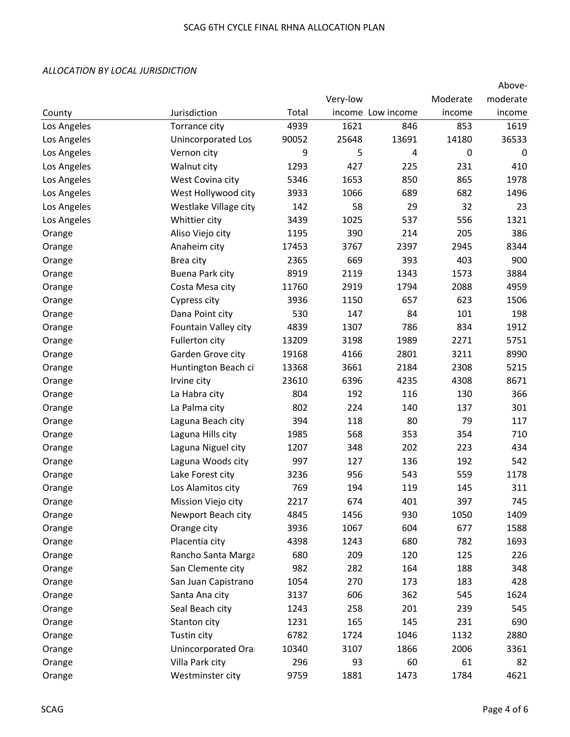|             |                       |       |          |                   |          | Above-   |
|-------------|-----------------------|-------|----------|-------------------|----------|----------|
|             |                       |       | Very-low |                   | Moderate | moderate |
| County      | Jurisdiction          | Total |          | income Low income | income   | income   |
| Los Angeles | Torrance city         | 4939  | 1621     | 846               | 853      | 1619     |
| Los Angeles | Unincorporated Los    | 90052 | 25648    | 13691             | 14180    | 36533    |
| Los Angeles | Vernon city           | 9     | 5        | 4                 | 0        | 0        |
| Los Angeles | Walnut city           | 1293  | 427      | 225               | 231      | 410      |
| Los Angeles | West Covina city      | 5346  | 1653     | 850               | 865      | 1978     |
| Los Angeles | West Hollywood city   | 3933  | 1066     | 689               | 682      | 1496     |
| Los Angeles | Westlake Village city | 142   | 58       | 29                | 32       | 23       |
| Los Angeles | Whittier city         | 3439  | 1025     | 537               | 556      | 1321     |
| Orange      | Aliso Viejo city      | 1195  | 390      | 214               | 205      | 386      |
| Orange      | Anaheim city          | 17453 | 3767     | 2397              | 2945     | 8344     |
| Orange      | Brea city             | 2365  | 669      | 393               | 403      | 900      |
| Orange      | Buena Park city       | 8919  | 2119     | 1343              | 1573     | 3884     |
| Orange      | Costa Mesa city       | 11760 | 2919     | 1794              | 2088     | 4959     |
| Orange      | Cypress city          | 3936  | 1150     | 657               | 623      | 1506     |
| Orange      | Dana Point city       | 530   | 147      | 84                | 101      | 198      |
| Orange      | Fountain Valley city  | 4839  | 1307     | 786               | 834      | 1912     |
| Orange      | Fullerton city        | 13209 | 3198     | 1989              | 2271     | 5751     |
| Orange      | Garden Grove city     | 19168 | 4166     | 2801              | 3211     | 8990     |
| Orange      | Huntington Beach ci   | 13368 | 3661     | 2184              | 2308     | 5215     |
| Orange      | Irvine city           | 23610 | 6396     | 4235              | 4308     | 8671     |
| Orange      | La Habra city         | 804   | 192      | 116               | 130      | 366      |
| Orange      | La Palma city         | 802   | 224      | 140               | 137      | 301      |
| Orange      | Laguna Beach city     | 394   | 118      | 80                | 79       | 117      |
| Orange      | Laguna Hills city     | 1985  | 568      | 353               | 354      | 710      |
| Orange      | Laguna Niguel city    | 1207  | 348      | 202               | 223      | 434      |
| Orange      | Laguna Woods city     | 997   | 127      | 136               | 192      | 542      |
| Orange      | Lake Forest city      | 3236  | 956      | 543               | 559      | 1178     |
| Orange      | Los Alamitos city     | 769   | 194      | 119               | 145      | 311      |
| Orange      | Mission Viejo city    | 2217  | 674      | 401               | 397      | 745      |
| Orange      | Newport Beach city    | 4845  | 1456     | 930               | 1050     | 1409     |
| Orange      | Orange city           | 3936  | 1067     | 604               | 677      | 1588     |
| Orange      | Placentia city        | 4398  | 1243     | 680               | 782      | 1693     |
| Orange      | Rancho Santa Marga    | 680   | 209      | 120               | 125      | 226      |
| Orange      | San Clemente city     | 982   | 282      | 164               | 188      | 348      |
| Orange      | San Juan Capistrano   | 1054  | 270      | 173               | 183      | 428      |
| Orange      | Santa Ana city        | 3137  | 606      | 362               | 545      | 1624     |
| Orange      | Seal Beach city       | 1243  | 258      | 201               | 239      | 545      |
| Orange      | Stanton city          | 1231  | 165      | 145               | 231      | 690      |
| Orange      | Tustin city           | 6782  | 1724     | 1046              | 1132     | 2880     |
| Orange      | Unincorporated Ora    | 10340 | 3107     | 1866              | 2006     | 3361     |
| Orange      | Villa Park city       | 296   | 93       | 60                | 61       | 82       |
| Orange      | Westminster city      | 9759  | 1881     | 1473              | 1784     | 4621     |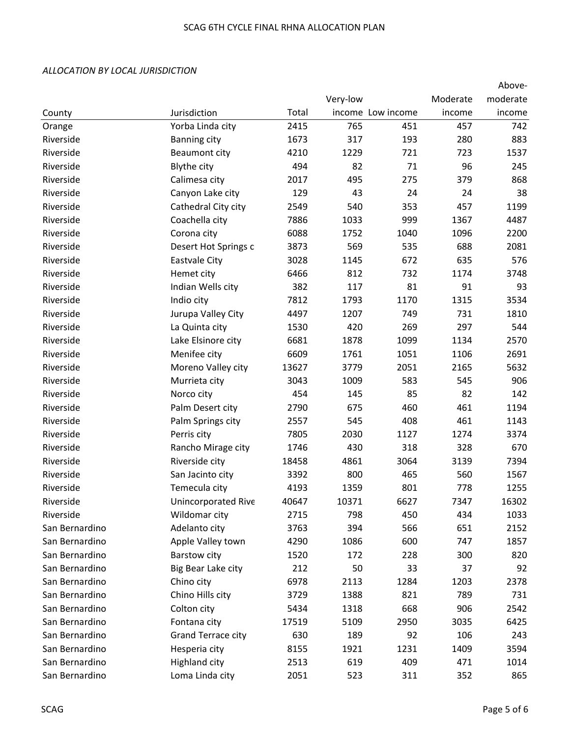|                |                      |       |          |                   |          | Above-   |
|----------------|----------------------|-------|----------|-------------------|----------|----------|
|                |                      |       | Very-low |                   | Moderate | moderate |
| County         | Jurisdiction         | Total |          | income Low income | income   | income   |
| Orange         | Yorba Linda city     | 2415  | 765      | 451               | 457      | 742      |
| Riverside      | <b>Banning city</b>  | 1673  | 317      | 193               | 280      | 883      |
| Riverside      | Beaumont city        | 4210  | 1229     | 721               | 723      | 1537     |
| Riverside      | <b>Blythe city</b>   | 494   | 82       | 71                | 96       | 245      |
| Riverside      | Calimesa city        | 2017  | 495      | 275               | 379      | 868      |
| Riverside      | Canyon Lake city     | 129   | 43       | 24                | 24       | 38       |
| Riverside      | Cathedral City city  | 2549  | 540      | 353               | 457      | 1199     |
| Riverside      | Coachella city       | 7886  | 1033     | 999               | 1367     | 4487     |
| Riverside      | Corona city          | 6088  | 1752     | 1040              | 1096     | 2200     |
| Riverside      | Desert Hot Springs c | 3873  | 569      | 535               | 688      | 2081     |
| Riverside      | Eastvale City        | 3028  | 1145     | 672               | 635      | 576      |
| Riverside      | Hemet city           | 6466  | 812      | 732               | 1174     | 3748     |
| Riverside      | Indian Wells city    | 382   | 117      | 81                | 91       | 93       |
| Riverside      | Indio city           | 7812  | 1793     | 1170              | 1315     | 3534     |
| Riverside      | Jurupa Valley City   | 4497  | 1207     | 749               | 731      | 1810     |
| Riverside      | La Quinta city       | 1530  | 420      | 269               | 297      | 544      |
| Riverside      | Lake Elsinore city   | 6681  | 1878     | 1099              | 1134     | 2570     |
| Riverside      | Menifee city         | 6609  | 1761     | 1051              | 1106     | 2691     |
| Riverside      | Moreno Valley city   | 13627 | 3779     | 2051              | 2165     | 5632     |
| Riverside      | Murrieta city        | 3043  | 1009     | 583               | 545      | 906      |
| Riverside      | Norco city           | 454   | 145      | 85                | 82       | 142      |
| Riverside      | Palm Desert city     | 2790  | 675      | 460               | 461      | 1194     |
| Riverside      | Palm Springs city    | 2557  | 545      | 408               | 461      | 1143     |
| Riverside      | Perris city          | 7805  | 2030     | 1127              | 1274     | 3374     |
| Riverside      | Rancho Mirage city   | 1746  | 430      | 318               | 328      | 670      |
| Riverside      | Riverside city       | 18458 | 4861     | 3064              | 3139     | 7394     |
| Riverside      | San Jacinto city     | 3392  | 800      | 465               | 560      | 1567     |
| Riverside      | Temecula city        | 4193  | 1359     | 801               | 778      | 1255     |
| Riverside      | Unincorporated Rive  | 40647 | 10371    | 6627              | 7347     | 16302    |
| Riverside      | Wildomar city        | 2715  | 798      | 450               | 434      | 1033     |
| San Bernardino | Adelanto city        | 3763  | 394      | 566               | 651      | 2152     |
| San Bernardino | Apple Valley town    | 4290  | 1086     | 600               | 747      | 1857     |
| San Bernardino | Barstow city         | 1520  | 172      | 228               | 300      | 820      |
| San Bernardino | Big Bear Lake city   | 212   | 50       | 33                | 37       | 92       |
| San Bernardino | Chino city           | 6978  | 2113     | 1284              | 1203     | 2378     |
| San Bernardino | Chino Hills city     | 3729  | 1388     | 821               | 789      | 731      |
| San Bernardino | Colton city          | 5434  | 1318     | 668               | 906      | 2542     |
| San Bernardino | Fontana city         | 17519 | 5109     | 2950              | 3035     | 6425     |
| San Bernardino | Grand Terrace city   | 630   | 189      | 92                | 106      | 243      |
| San Bernardino | Hesperia city        | 8155  | 1921     | 1231              | 1409     | 3594     |
| San Bernardino | <b>Highland city</b> | 2513  | 619      | 409               | 471      | 1014     |
| San Bernardino | Loma Linda city      | 2051  | 523      | 311               | 352      | 865      |